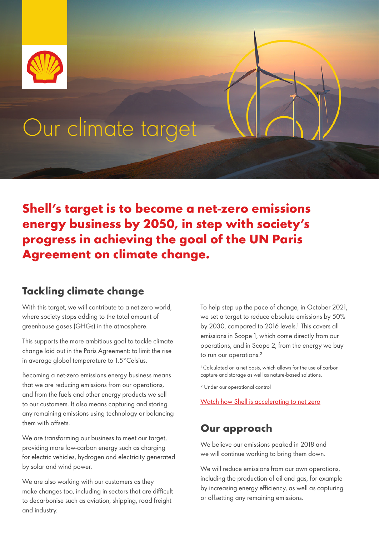

**Shell's target is to become a net-zero emissions energy business by 2050, in step with society's progress in achieving the goal of the UN Paris Agreement on climate change.**

# **Tackling climate change**

With this target, we will contribute to a net-zero world, where society stops adding to the total amount of greenhouse gases (GHGs) in the atmosphere.

This supports the more ambitious goal to tackle climate change laid out in the Paris Agreement: to limit the rise in average global temperature to 1.5°Celsius.

Becoming a net-zero emissions energy business means that we are reducing emissions from our operations, and from the fuels and other energy products we sell to our customers. It also means capturing and storing any remaining emissions using technology or balancing them with offsets.

We are transforming our business to meet our target, providing more low-carbon energy such as charging for electric vehicles, hydrogen and electricity generated by solar and wind power.

We are also working with our customers as they make changes too, including in sectors that are difficult to decarbonise such as aviation, shipping, road freight and industry.

To help step up the pace of change, in October 2021, we set a target to reduce absolute emissions by 50% by 2030, compared to 2016 levels.<sup>1</sup> This covers all emissions in Scope 1, which come directly from our operations, and in Scope 2, from the energy we buy to run our operations.<sup>2</sup>

1 Calculated on a net basis, which allows for the use of carbon capture and storage as well as nature-based solutions.

² Under our operational control

[Watch how Shell is accelerating to net zero](https://www.youtube.com/watch?v=vcHx71LEKso)

# **Our approach**

We believe our emissions peaked in 2018 and we will continue working to bring them down.

We will reduce emissions from our own operations, including the production of oil and gas, for example by increasing energy efficiency, as well as capturing or offsetting any remaining emissions.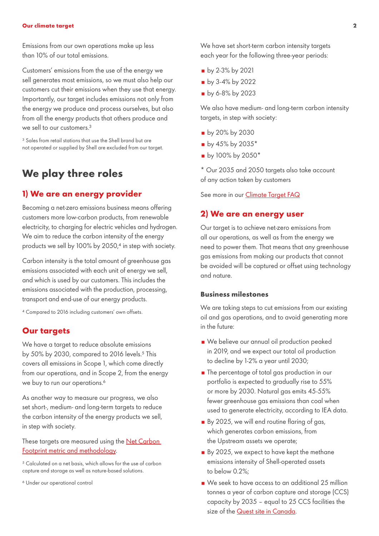Emissions from our own operations make up less than 10% of our total emissions.

Customers' emissions from the use of the energy we sell generates most emissions, so we must also help our customers cut their emissions when they use that energy. Importantly, our target includes emissions not only from the energy we produce and process ourselves, but also from all the energy products that others produce and we sell to our customers  $3$ 

<sup>3</sup> Sales from retail stations that use the Shell brand but are not operated or supplied by Shell are excluded from our target.

# **We play three roles**

# **1) We are an energy provider**

Becoming a net-zero emissions business means offering customers more low-carbon products, from renewable electricity, to charging for electric vehicles and hydrogen. We aim to reduce the carbon intensity of the energy products we sell by 100% by 2050,<sup>4</sup> in step with society.

Carbon intensity is the total amount of greenhouse gas emissions associated with each unit of energy we sell, and which is used by our customers. This includes the emissions associated with the production, processing, transport and end-use of our energy products.

⁴ Compared to 2016 including customers' own offsets.

# **Our targets**

We have a target to reduce absolute emissions by 50% by 2030, compared to 2016 levels.<sup>5</sup> This covers all emissions in Scope 1, which come directly from our operations, and in Scope 2, from the energy we buy to run our operations.<sup>6</sup>

As another way to measure our progress, we also set short-, medium- and long-term targets to reduce the carbon intensity of the energy products we sell, in step with society.

These targets are measured using the **Net Carbon** [Footprint metric and methodology.](https://fourleafdigital.shell.com/webapps/climate_ambition/downloads/SR.19.00134.pdf)

⁵ Calculated on a net basis, which allows for the use of carbon capture and storage as well as nature-based solutions.

⁶ Under our operational control

We have set short-term carbon intensity targets each year for the following three-year periods:

- **by 2-3% by 2021**
- **by 3-4% by 2022**
- **by 6-8% by 2023**

We also have medium- and long-term carbon intensity targets, in step with society:

- by 20% by 2030
- $\bullet$  by 45% by 2035\*
- by 100% by 2050\*

\* Our 2035 and 2050 targets also take account of any action taken by customers

See more in our [Climate Target FAQ](https://www.shell.com/energy-and-innovation/the-energy-future/what-is-shells-net-carbon-footprint-ambition/faq.html)

# **2) We are an energy user**

Our target is to achieve net-zero emissions from all our operations, as well as from the energy we need to power them. That means that any greenhouse gas emissions from making our products that cannot be avoided will be captured or offset using technology and nature.

# **Business milestones**

We are taking steps to cut emissions from our existing oil and gas operations, and to avoid generating more in the future:

- We believe our annual oil production peaked in 2019, and we expect our total oil production to decline by 1-2% a year until 2030;
- **n** The percentage of total gas production in our portfolio is expected to gradually rise to 55% or more by 2030. Natural gas emits 45-55% fewer greenhouse gas emissions than coal when used to generate electricity, according to IEA data.
- By 2025, we will end routine flaring of gas, which generates carbon emissions, from the Upstream assets we operate;
- By 2025, we expect to have kept the methane emissions intensity of Shell-operated assets to below 0.2%;
- We seek to have access to an additional 25 million tonnes a year of carbon capture and storage (CCS) capacity by 2035 – equal to 25 CCS facilities the size of the [Quest site in Canada](https://www.shell.ca/en_ca/about-us/projects-and-sites/quest-carbon-capture-and-storage-project.html).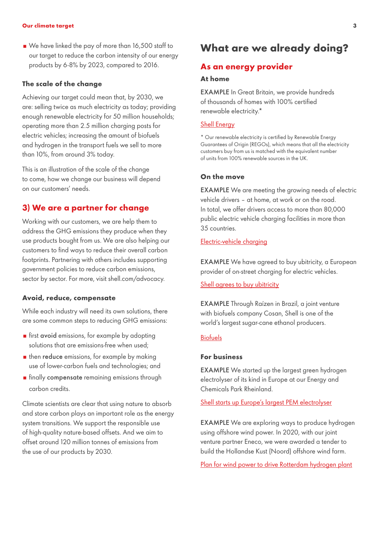We have linked the pay of more than 16,500 staff to our target to reduce the carbon intensity of our energy products by 6-8% by 2023, compared to 2016.

#### **The scale of the change**

Achieving our target could mean that, by 2030, we are: selling twice as much electricity as today; providing enough renewable electricity for 50 million households; operating more than 2.5 million charging posts for electric vehicles; increasing the amount of biofuels and hydrogen in the transport fuels we sell to more than 10%, from around 3% today.

This is an illustration of the scale of the change to come, how we change our business will depend on our customers' needs.

# **3) We are a partner for change**

Working with our customers, we are help them to address the GHG emissions they produce when they use products bought from us. We are also helping our customers to find ways to reduce their overall carbon footprints. Partnering with others includes supporting government policies to reduce carbon emissions, sector by sector. For more, visit shell.com/advocacy.

# **Avoid, reduce, compensate**

While each industry will need its own solutions, there are some common steps to reducing GHG emissions:

- **First avoid emissions, for example by adopting** solutions that are emissions-free when used;
- $\blacksquare$  then reduce emissions, for example by making use of lower-carbon fuels and technologies; and
- **n** finally compensate remaining emissions through carbon credits.

Climate scientists are clear that using nature to absorb and store carbon plays an important role as the energy system transitions. We support the responsible use of high-quality nature-based offsets. And we aim to offset around 120 million tonnes of emissions from the use of our products by 2030.

# **What are we already doing?**

# **As an energy provider**

#### **At home**

EXAMPLE In Great Britain, we provide hundreds of thousands of homes with 100% certified renewable electricity.\*

# [Shell Energy](https://www.shellenergy.co.uk/)

\* Our renewable electricity is certified by Renewable Energy Guarantees of Origin (REGOs), which means that all the electricity customers buy from us is matched with the equivalent number of units from 100% renewable sources in the UK.

## **On the move**

EXAMPLE We are meeting the growing needs of electric vehicle drivers – at home, at work or on the road. In total, we offer drivers access to more than 80,000 public electric vehicle charging facilities in more than 35 countries.

# [Electric-vehicle charging](https://www.shell.com/energy-and-innovation/new-energies/electric-vehicle-charging.html)

EXAMPLE We have agreed to buy ubitricity, a European provider of on-street charging for electric vehicles.

## [Shell agrees to buy ubitricity](https://www.shell.co.uk/media/2021-media-releases/shell-agrees-to-buy-ubitricity-a-leading-provider-of-on-street-charging-for-electric-vehicles-evs.html)

EXAMPLE Through Raízen in Brazil, a joint venture with biofuels company Cosan, Shell is one of the world's largest sugar-cane ethanol producers.

## [Biofuels](https://www.shell.com/energy-and-innovation/new-energies/biofuels.html#iframe=L3dlYmFwcHMvMjAxOV9CaW9mdWVsc19pbnRlcmFjdGl2ZV9tYXAv)

# **For business**

EXAMPLE We started up the largest green hydrogen electrolyser of its kind in Europe at our Energy and Chemicals Park Rheinland.

[Shell starts up Europe's largest PEM electrolyser](https://www.shell.com/media/news-and-media-releases/2021/shell-starts-up-europes-largest-pem-green-hydrogen-electrolyser.html)

EXAMPLE We are exploring ways to produce hydrogen using offshore wind power. In 2020, with our joint venture partner Eneco, we were awarded a tender to build the Hollandse Kust (Noord) offshore wind farm.

[Plan for wind power to drive Rotterdam hydrogen plant](https://www.shell.nl/media/nieuwsberichten/2020/wind-als-energiebron-voor-groene-waterstoffabriek-in-rotterdam.html)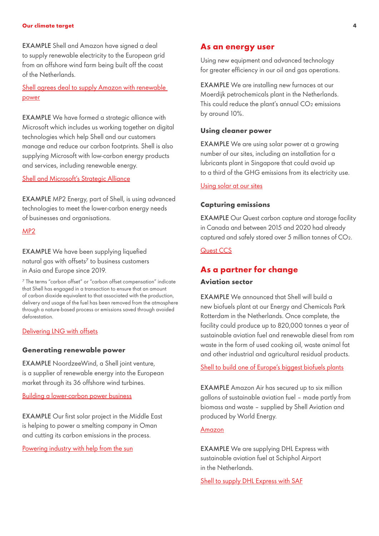EXAMPLE Shell and Amazon have signed a deal to supply renewable electricity to the European grid from an offshore wind farm being built off the coast of the Netherlands.

# Shell agrees deal to supply Amazon with renewable [power](https://www.shell.com/business-customers/trading-and-supply/trading/shell-energy-europe/shell-energy-europe-news-and-media-releases/shell-agrees-deal-to-supply-amazon-with-renewable-power.html?utm_medium=social_organic&utm_content=___&utm_campaign=__-_&utm_source=linkedin&postid=4473561334&linkId=110893332)

EXAMPLE We have formed a strategic alliance with Microsoft which includes us working together on digital technologies which help Shell and our customers manage and reduce our carbon footprints. Shell is also supplying Microsoft with low-carbon energy products and services, including renewable energy.

# [Shell and Microsoft's Strategic Alliance](https://www.shell.com/energy-and-innovation/digitalisation/news-room/shell-and-microsofts-strategic-alliance.html)

EXAMPLE MP2 Energy, part of Shell, is using advanced technologies to meet the lower-carbon energy needs of businesses and organisations.

#### [MP2](https://www.mp2energy.com/)

# EXAMPLE We have been supplying liquefied natural gas with offsets<sup>7</sup> to business customers in Asia and Europe since 2019.

⁷ The terms "carbon offset" or "carbon offset compensation" indicate that Shell has engaged in a transaction to ensure that an amount of carbon dioxide equivalent to that associated with the production, delivery and usage of the fuel has been removed from the atmosphere through a nature-based process or emissions saved through avoided deforestation.

# [Delivering LNG with offsets](https://www.shell.com/business-customers/trading-and-supply/trading/news-and-media-releases.html)

#### **Generating renewable power**

EXAMPLE NoordzeeWind, a Shell joint venture, is a supplier of renewable energy into the European market through its 36 offshore wind turbines.

# [Building a lower-carbon power business](https://www.shell.com/energy-and-innovation/new-energies.html#iframe=L3dlYmFwcHMvMjAxOV9uZXdfZW5lcmdpZXNfaW50ZXJhY3RpdmVfbWFwLw)

EXAMPLE Our first solar project in the Middle East is helping to power a smelting company in Oman and cutting its carbon emissions in the process.

[Powering industry with help from the sun](https://www.shell.com/inside-energy/powering-omani-industry-with-help-from-the-sun.html)

# **As an energy user**

Using new equipment and advanced technology for greater efficiency in our oil and gas operations.

EXAMPLE We are installing new furnaces at our Moerdijk petrochemicals plant in the Netherlands. This could reduce the plant's annual  $CO<sub>2</sub>$  emissions by around 10%[.](https://www.shell.us/energy-and-innovation/shale-gas-and-oil/drone-development-permian-basin.html)

# **Using cleaner power**

EXAMPLE We are using solar power at a growing number of our sites, including an installation for a lubricants plant in Singapore that could avoid up to a third of the GHG emissions from its electricity use.

# [Using solar at our sites](https://www.shell.com.sg/media/2019-media-releases/shell-uses-solar-to-help-power-three-singapore-sites.html)

# **Capturing emissions**

EXAMPLE Our Quest carbon capture and storage facility in Canada and between 2015 and 2020 had already captured and safely stored over 5 million tonnes of CO₂.

# [Quest CCS](https://www.shell.ca/en_ca/about-us/projects-and-sites/quest-carbon-capture-and-storage-project.html)

# **As a partner for change**

## **Aviation sector**

EXAMPLE We announced that Shell will build a new biofuels plant at our Energy and Chemicals Park Rotterdam in the Netherlands. Once complete, the facility could produce up to 820,000 tonnes a year of sustainable aviation fuel and renewable diesel from rom waste in the form of used cooking oil, waste animal fat and other industrial and agricultural residual products.

[Shell to build one of Europe's biggest biofuels plants](https://www.shell.com/media/news-and-media-releases/2021/shell-to-build-one-of-europes-biggest-biofuels-facilities.html)

EXAMPLE Amazon Air has secured up to six million gallons of sustainable aviation fuel – made partly from biomass and waste – supplied by Shell Aviation and produced by World Energy.

# [Amazon](https://blog.aboutamazon.com/operations/promoting-a-more-sustainable-future-through-amazon-air)

EXAMPLE We are supplying DHL Express with sustainable aviation fuel at Schiphol Airport in the Netherlands.

[Shell to supply DHL Express with SAF](https://www.shell.com/business-customers/aviation/news-and-media-releases/news-and-media-2020/shell-to-supply-dhl-express-with-sustainable-aviation-fuel-at-schiphol-airport.html)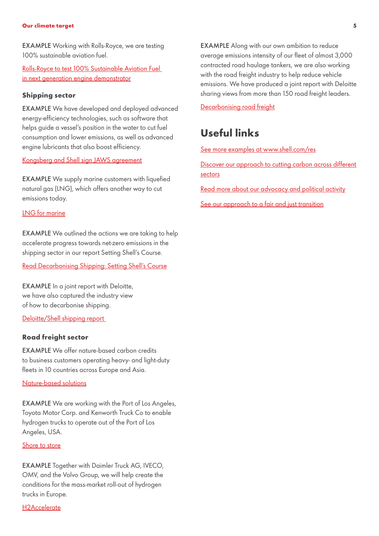EXAMPLE Working with Rolls-Royce, we are testing 100% sustainable aviation fuel.

[Rolls-Royce to test 100% Sustainable Aviation Fuel](https://www.rolls-royce.com/media/press-releases/2020/12-11-2020-rr-to-test-100-percent-sustainable-aviation-fuel-in-next-generation-engine-demonstrator.aspx#:~:text=generation%20engine%20demonstrator-,Rolls%2DRoyce%20to%20test%20100%25%20Sustainable%20Aviation%20Fuel,in%20next%20generation%20engine%20demonstrator&text=As%20part%20of%20its%20ongoing,on%20next%2Dgeneration%20engine%20technology.)  [in next generation engine demonstrator](https://www.rolls-royce.com/media/press-releases/2020/12-11-2020-rr-to-test-100-percent-sustainable-aviation-fuel-in-next-generation-engine-demonstrator.aspx#:~:text=generation%20engine%20demonstrator-,Rolls%2DRoyce%20to%20test%20100%25%20Sustainable%20Aviation%20Fuel,in%20next%20generation%20engine%20demonstrator&text=As%20part%20of%20its%20ongoing,on%20next%2Dgeneration%20engine%20technology.)

# **Shipping sector**

EXAMPLE We have developed and deployed advanced energy-efficiency technologies, such as software that helps guide a vessel's position in the water to cut fuel consumption and lower emissions, as well as advanced engine lubricants that also boost efficiency.

### [Kongsberg and Shell sign JAWS agreement](https://www.kongsberg.com/maritime/about-us/news-and-media/news-archive/2020/kongsberg-and-shell-sign-jaws-agreement/)

EXAMPLE We supply marine customers with liquefied natural gas (LNG), which offers another way to cut emissions today.

# [LNG for marine](https://www.shell.com/energy-and-innovation/natural-gas/lng-for-transport/lng-for-marine.html#iframe=L2Zvcm1zL2VuX2diX3doYXRfbG5nX2Nhbl9kb19mb3JfeW91cl9idXNpbmVzcz91cmw9bG5nLWZvci1tYXJpbmU)

EXAMPLE We outlined the actions we are taking to help accelerate progress towards net-zero emissions in the shipping sector in our report Setting Shell's Course.

[Read Decarbonising Shipping: Setting Shell's Course](http://www.shell.com/DecarbonisingShipping)

EXAMPLE In a joint report with Deloitte, we have also captured the industry view of how to decarbonise shipping.

[Deloitte/Shell shipping report](https://www.shell.com/energy-and-innovation/the-energy-future/decarbonising-shipping.html) 

# **Road freight sector**

EXAMPLE We offer nature-based carbon credits to business customers operating heavy- and light-duty fleets in 10 countries across Europe and Asia.

## [Nature-based solutions](https://www.shell.com/energy-and-innovation/new-energies/nature-based-solutions.html#iframe=L3dlYmFwcHMvMjAxOV9uYXR1cmVfYmFzZWRfc29sdXRpb25zL3VwZGF0ZS8)

EXAMPLE We are working with the Port of Los Angeles, Toyota Motor Corp. and Kenworth Truck Co to enable hydrogen trucks to operate out of the Port of Los Angeles, USA.

# [Shore to store](https://www.trucks.com/2018/09/17/toyota-kenworth-shell-partner-port-la-fuel-cell-project/)

EXAMPLE Together with Daimler Truck AG, IVECO, OMV, and the Volvo Group, we will help create the conditions for the mass-market roll-out of hydrogen trucks in Europe.

[H2Accelerate](https://www.shell.com/energy-and-innovation/new-energies/new-energies-media-releases/h2-accelerate-new-collaboration-for-zero-emission-hydrogen-trucking-at-mass-market-scale.html)

EXAMPLE Along with our own ambition to reduce average emissions intensity of our fleet of almost 3,000 contracted road haulage tankers, we are also working with the road freight industry to help reduce vehicle emissions. We have produced a joint report with Deloitte sharing views from more than 150 road freight leaders.

[Decarbonising road freight](https://www.shell.com/energy-and-innovation/the-energy-future/decarbonising-road-freight.html)

# **Useful links**

[See more examples at www.shell.com/res](https://www.shell.com/energy-and-innovation/new-energies.html#vanity-aHR0cHM6Ly93d3cuc2hlbGwuY29tL3Jlcy5odG1s)

[Discover our approach to cutting carbon across different](https://www.shell.com/energy-and-innovation/the-energy-future/cutting-carbon-together-sector-by-sector.html)  [sectors](https://www.shell.com/energy-and-innovation/the-energy-future/cutting-carbon-together-sector-by-sector.html)

[Read more about our advocacy and political activity](https://www.shell.com/sustainability/transparency/advocacy-and-political-activity.html)

[See our approach to a fair and just transition](https://www.shell.com/energy-and-innovation/the-energy-future/a-fair-and-just-transition.html)